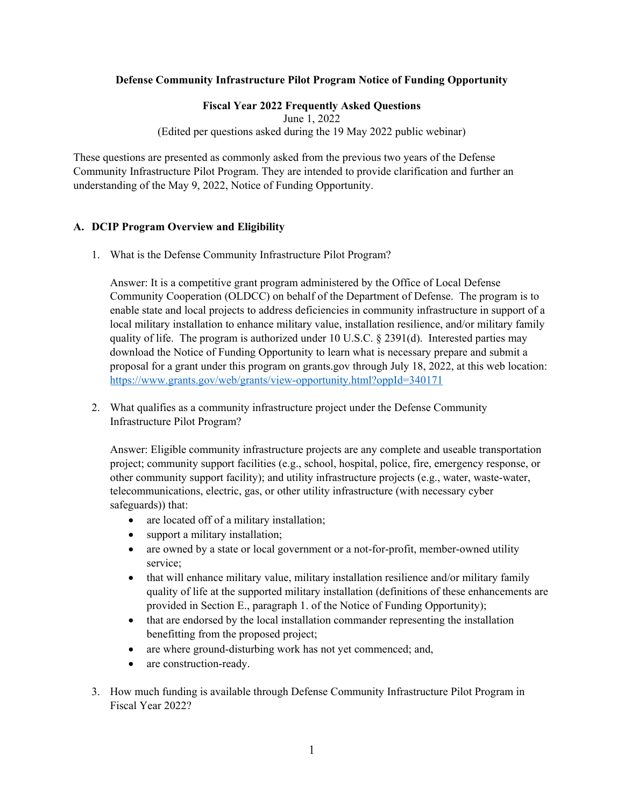# **Defense Community Infrastructure Pilot Program Notice of Funding Opportunity**

## **Fiscal Year 2022 Frequently Asked Questions**

June 1, 2022

(Edited per questions asked during the 19 May 2022 public webinar)

These questions are presented as commonly asked from the previous two years of the Defense Community Infrastructure Pilot Program. They are intended to provide clarification and further an understanding of the May 9, 2022, Notice of Funding Opportunity.

# **A. DCIP Program Overview and Eligibility**

1. What is the Defense Community Infrastructure Pilot Program?

Answer: It is a competitive grant program administered by the Office of Local Defense Community Cooperation (OLDCC) on behalf of the Department of Defense. The program is to enable state and local projects to address deficiencies in community infrastructure in support of a local military installation to enhance military value, installation resilience, and/or military family quality of life. The program is authorized under 10 U.S.C.  $\S 2391(d)$ . Interested parties may download the Notice of Funding Opportunity to learn what is necessary prepare and submit a proposal for a grant under this program on grants.gov through July 18, 2022, at this web location: <https://www.grants.gov/web/grants/view-opportunity.html?oppId=340171>

2. What qualifies as a community infrastructure project under the Defense Community Infrastructure Pilot Program?

Answer: Eligible community infrastructure projects are any complete and useable transportation project; community support facilities (e.g., school, hospital, police, fire, emergency response, or other community support facility); and utility infrastructure projects (e.g., water, waste-water, telecommunications, electric, gas, or other utility infrastructure (with necessary cyber safeguards)) that:

- are located off of a military installation;
- support a military installation;
- are owned by a state or local government or a not-for-profit, member-owned utility service;
- that will enhance military value, military installation resilience and/or military family quality of life at the supported military installation (definitions of these enhancements are provided in Section E., paragraph 1. of the Notice of Funding Opportunity);
- that are endorsed by the local installation commander representing the installation benefitting from the proposed project;
- are where ground-disturbing work has not yet commenced; and,
- are construction-ready.
- 3. How much funding is available through Defense Community Infrastructure Pilot Program in Fiscal Year 2022?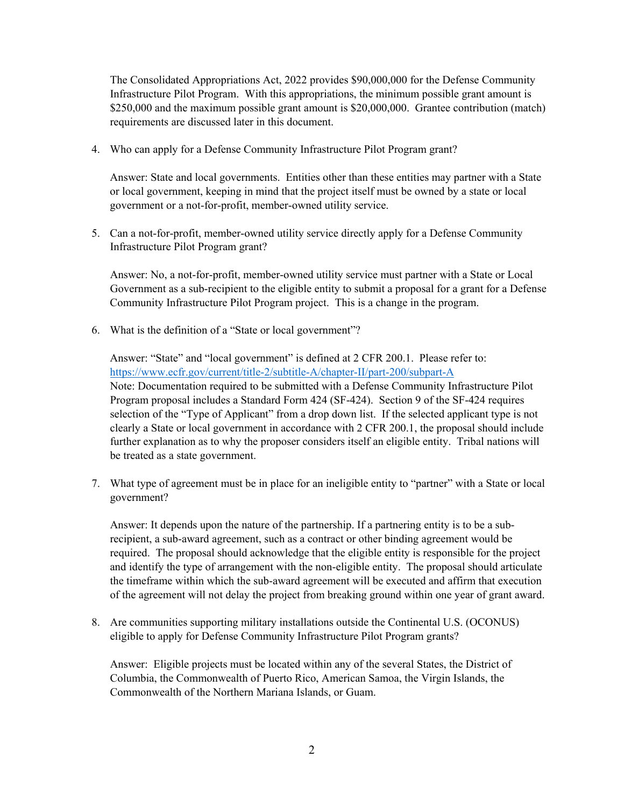The Consolidated Appropriations Act, 2022 provides \$90,000,000 for the Defense Community Infrastructure Pilot Program. With this appropriations, the minimum possible grant amount is \$250,000 and the maximum possible grant amount is \$20,000,000. Grantee contribution (match) requirements are discussed later in this document.

4. Who can apply for a Defense Community Infrastructure Pilot Program grant?

Answer: State and local governments. Entities other than these entities may partner with a State or local government, keeping in mind that the project itself must be owned by a state or local government or a not-for-profit, member-owned utility service.

5. Can a not-for-profit, member-owned utility service directly apply for a Defense Community Infrastructure Pilot Program grant?

Answer: No, a not-for-profit, member-owned utility service must partner with a State or Local Government as a sub-recipient to the eligible entity to submit a proposal for a grant for a Defense Community Infrastructure Pilot Program project. This is a change in the program.

6. What is the definition of a "State or local government"?

Answer: "State" and "local government" is defined at 2 CFR 200.1. Please refer to: <https://www.ecfr.gov/current/title-2/subtitle-A/chapter-II/part-200/subpart-A> Note: Documentation required to be submitted with a Defense Community Infrastructure Pilot Program proposal includes a Standard Form 424 (SF-424). Section 9 of the SF-424 requires selection of the "Type of Applicant" from a drop down list. If the selected applicant type is not clearly a State or local government in accordance with 2 CFR 200.1, the proposal should include further explanation as to why the proposer considers itself an eligible entity. Tribal nations will be treated as a state government.

7. What type of agreement must be in place for an ineligible entity to "partner" with a State or local government?

Answer: It depends upon the nature of the partnership. If a partnering entity is to be a subrecipient, a sub-award agreement, such as a contract or other binding agreement would be required. The proposal should acknowledge that the eligible entity is responsible for the project and identify the type of arrangement with the non-eligible entity. The proposal should articulate the timeframe within which the sub-award agreement will be executed and affirm that execution of the agreement will not delay the project from breaking ground within one year of grant award.

8. Are communities supporting military installations outside the Continental U.S. (OCONUS) eligible to apply for Defense Community Infrastructure Pilot Program grants?

Answer: Eligible projects must be located within any of the several States, the District of Columbia, the Commonwealth of Puerto Rico, American Samoa, the Virgin Islands, the Commonwealth of the Northern Mariana Islands, or Guam.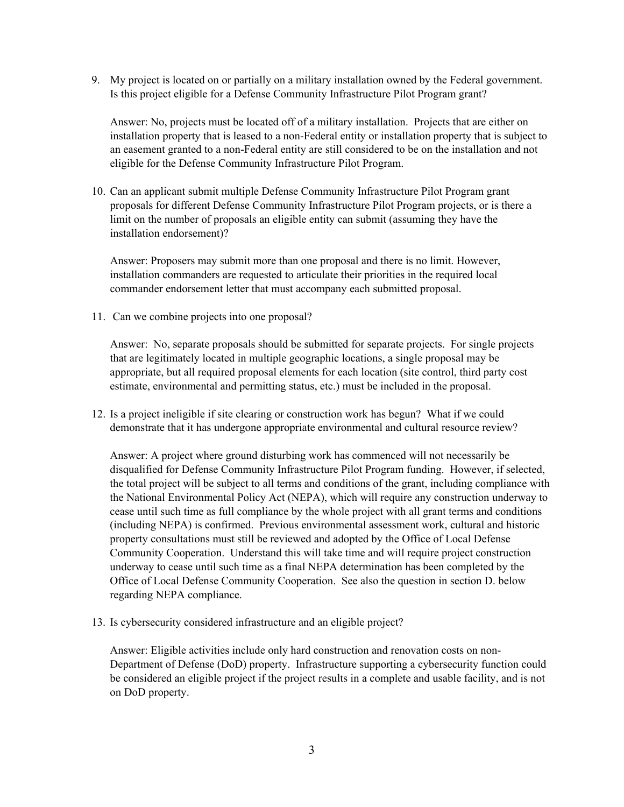9. My project is located on or partially on a military installation owned by the Federal government. Is this project eligible for a Defense Community Infrastructure Pilot Program grant?

Answer: No, projects must be located off of a military installation. Projects that are either on installation property that is leased to a non-Federal entity or installation property that is subject to an easement granted to a non-Federal entity are still considered to be on the installation and not eligible for the Defense Community Infrastructure Pilot Program.

10. Can an applicant submit multiple Defense Community Infrastructure Pilot Program grant proposals for different Defense Community Infrastructure Pilot Program projects, or is there a limit on the number of proposals an eligible entity can submit (assuming they have the installation endorsement)?

Answer: Proposers may submit more than one proposal and there is no limit. However, installation commanders are requested to articulate their priorities in the required local commander endorsement letter that must accompany each submitted proposal.

11. Can we combine projects into one proposal?

Answer: No, separate proposals should be submitted for separate projects. For single projects that are legitimately located in multiple geographic locations, a single proposal may be appropriate, but all required proposal elements for each location (site control, third party cost estimate, environmental and permitting status, etc.) must be included in the proposal.

12. Is a project ineligible if site clearing or construction work has begun? What if we could demonstrate that it has undergone appropriate environmental and cultural resource review?

Answer: A project where ground disturbing work has commenced will not necessarily be disqualified for Defense Community Infrastructure Pilot Program funding. However, if selected, the total project will be subject to all terms and conditions of the grant, including compliance with the National Environmental Policy Act (NEPA), which will require any construction underway to cease until such time as full compliance by the whole project with all grant terms and conditions (including NEPA) is confirmed. Previous environmental assessment work, cultural and historic property consultations must still be reviewed and adopted by the Office of Local Defense Community Cooperation. Understand this will take time and will require project construction underway to cease until such time as a final NEPA determination has been completed by the Office of Local Defense Community Cooperation. See also the question in section D. below regarding NEPA compliance.

13. Is cybersecurity considered infrastructure and an eligible project?

Answer: Eligible activities include only hard construction and renovation costs on non-Department of Defense (DoD) property. Infrastructure supporting a cybersecurity function could be considered an eligible project if the project results in a complete and usable facility, and is not on DoD property.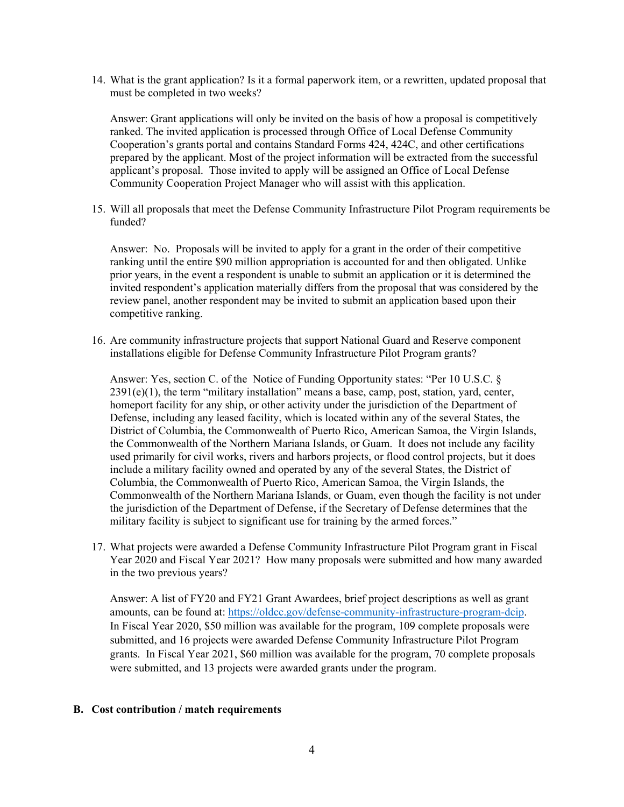14. What is the grant application? Is it a formal paperwork item, or a rewritten, updated proposal that must be completed in two weeks?

Answer: Grant applications will only be invited on the basis of how a proposal is competitively ranked. The invited application is processed through Office of Local Defense Community Cooperation's grants portal and contains Standard Forms 424, 424C, and other certifications prepared by the applicant. Most of the project information will be extracted from the successful applicant's proposal. Those invited to apply will be assigned an Office of Local Defense Community Cooperation Project Manager who will assist with this application.

15. Will all proposals that meet the Defense Community Infrastructure Pilot Program requirements be funded?

Answer: No. Proposals will be invited to apply for a grant in the order of their competitive ranking until the entire \$90 million appropriation is accounted for and then obligated. Unlike prior years, in the event a respondent is unable to submit an application or it is determined the invited respondent's application materially differs from the proposal that was considered by the review panel, another respondent may be invited to submit an application based upon their competitive ranking.

16. Are community infrastructure projects that support National Guard and Reserve component installations eligible for Defense Community Infrastructure Pilot Program grants?

Answer: Yes, section C. of the Notice of Funding Opportunity states: "Per 10 U.S.C. § 2391(e)(1), the term "military installation" means a base, camp, post, station, yard, center, homeport facility for any ship, or other activity under the jurisdiction of the Department of Defense, including any leased facility, which is located within any of the several States, the District of Columbia, the Commonwealth of Puerto Rico, American Samoa, the Virgin Islands, the Commonwealth of the Northern Mariana Islands, or Guam. It does not include any facility used primarily for civil works, rivers and harbors projects, or flood control projects, but it does include a military facility owned and operated by any of the several States, the District of Columbia, the Commonwealth of Puerto Rico, American Samoa, the Virgin Islands, the Commonwealth of the Northern Mariana Islands, or Guam, even though the facility is not under the jurisdiction of the Department of Defense, if the Secretary of Defense determines that the military facility is subject to significant use for training by the armed forces."

17. What projects were awarded a Defense Community Infrastructure Pilot Program grant in Fiscal Year 2020 and Fiscal Year 2021? How many proposals were submitted and how many awarded in the two previous years?

Answer: A list of FY20 and FY21 Grant Awardees, brief project descriptions as well as grant amounts, can be found at: [https://oldcc.gov/defense-community-infrastructure-program-dcip.](https://oldcc.gov/defense-community-infrastructure-program-dcip) In Fiscal Year 2020, \$50 million was available for the program, 109 complete proposals were submitted, and 16 projects were awarded Defense Community Infrastructure Pilot Program grants. In Fiscal Year 2021, \$60 million was available for the program, 70 complete proposals were submitted, and 13 projects were awarded grants under the program.

#### **B. Cost contribution / match requirements**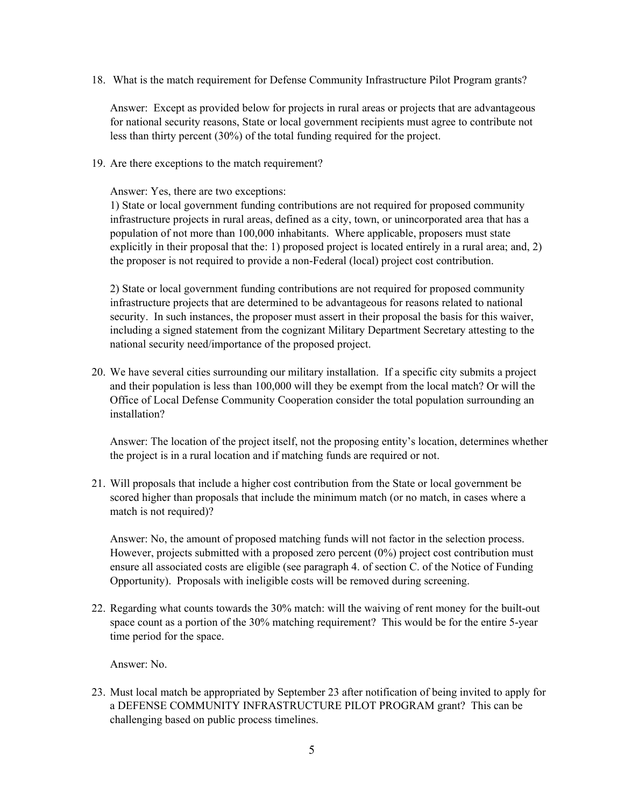18. What is the match requirement for Defense Community Infrastructure Pilot Program grants?

Answer: Except as provided below for projects in rural areas or projects that are advantageous for national security reasons, State or local government recipients must agree to contribute not less than thirty percent (30%) of the total funding required for the project.

19. Are there exceptions to the match requirement?

Answer: Yes, there are two exceptions:

1) State or local government funding contributions are not required for proposed community infrastructure projects in rural areas, defined as a city, town, or unincorporated area that has a population of not more than 100,000 inhabitants. Where applicable, proposers must state explicitly in their proposal that the: 1) proposed project is located entirely in a rural area; and, 2) the proposer is not required to provide a non-Federal (local) project cost contribution.

2) State or local government funding contributions are not required for proposed community infrastructure projects that are determined to be advantageous for reasons related to national security. In such instances, the proposer must assert in their proposal the basis for this waiver, including a signed statement from the cognizant Military Department Secretary attesting to the national security need/importance of the proposed project.

20. We have several cities surrounding our military installation. If a specific city submits a project and their population is less than 100,000 will they be exempt from the local match? Or will the Office of Local Defense Community Cooperation consider the total population surrounding an installation?

Answer: The location of the project itself, not the proposing entity's location, determines whether the project is in a rural location and if matching funds are required or not.

21. Will proposals that include a higher cost contribution from the State or local government be scored higher than proposals that include the minimum match (or no match, in cases where a match is not required)?

Answer: No, the amount of proposed matching funds will not factor in the selection process. However, projects submitted with a proposed zero percent (0%) project cost contribution must ensure all associated costs are eligible (see paragraph 4. of section C. of the Notice of Funding Opportunity). Proposals with ineligible costs will be removed during screening.

22. Regarding what counts towards the 30% match: will the waiving of rent money for the built-out space count as a portion of the 30% matching requirement? This would be for the entire 5-year time period for the space.

Answer: No.

23. Must local match be appropriated by September 23 after notification of being invited to apply for a DEFENSE COMMUNITY INFRASTRUCTURE PILOT PROGRAM grant? This can be challenging based on public process timelines.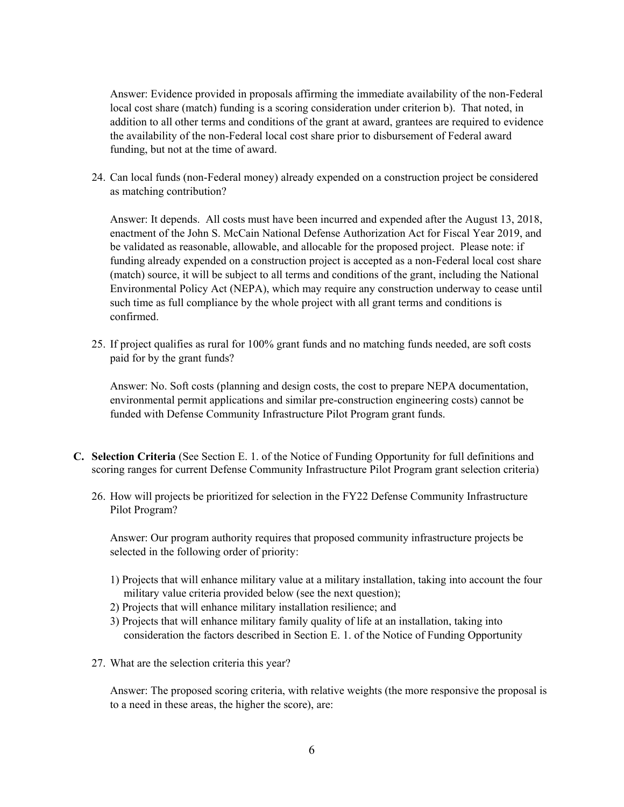Answer: Evidence provided in proposals affirming the immediate availability of the non-Federal local cost share (match) funding is a scoring consideration under criterion b). That noted, in addition to all other terms and conditions of the grant at award, grantees are required to evidence the availability of the non-Federal local cost share prior to disbursement of Federal award funding, but not at the time of award.

24. Can local funds (non-Federal money) already expended on a construction project be considered as matching contribution?

Answer: It depends. All costs must have been incurred and expended after the August 13, 2018, enactment of the John S. McCain National Defense Authorization Act for Fiscal Year 2019, and be validated as reasonable, allowable, and allocable for the proposed project. Please note: if funding already expended on a construction project is accepted as a non-Federal local cost share (match) source, it will be subject to all terms and conditions of the grant, including the National Environmental Policy Act (NEPA), which may require any construction underway to cease until such time as full compliance by the whole project with all grant terms and conditions is confirmed.

25. If project qualifies as rural for 100% grant funds and no matching funds needed, are soft costs paid for by the grant funds?

Answer: No. Soft costs (planning and design costs, the cost to prepare NEPA documentation, environmental permit applications and similar pre-construction engineering costs) cannot be funded with Defense Community Infrastructure Pilot Program grant funds.

- **C. Selection Criteria** (See Section E. 1. of the Notice of Funding Opportunity for full definitions and scoring ranges for current Defense Community Infrastructure Pilot Program grant selection criteria)
	- 26. How will projects be prioritized for selection in the FY22 Defense Community Infrastructure Pilot Program?

Answer: Our program authority requires that proposed community infrastructure projects be selected in the following order of priority:

- 1) Projects that will enhance military value at a military installation, taking into account the four military value criteria provided below (see the next question);
- 2) Projects that will enhance military installation resilience; and
- 3) Projects that will enhance military family quality of life at an installation, taking into consideration the factors described in Section E. 1. of the Notice of Funding Opportunity
- 27. What are the selection criteria this year?

Answer: The proposed scoring criteria, with relative weights (the more responsive the proposal is to a need in these areas, the higher the score), are: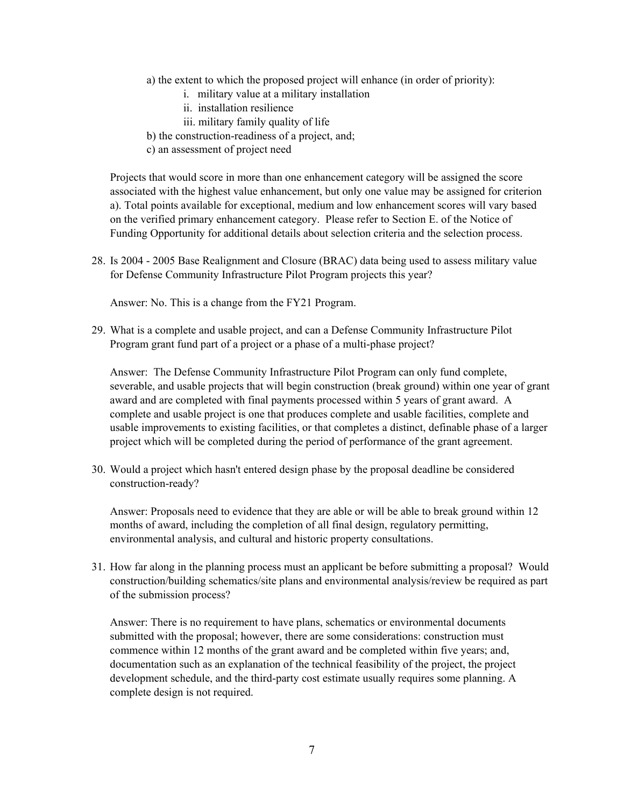- a) the extent to which the proposed project will enhance (in order of priority):
	- i. military value at a military installation
	- ii. installation resilience
	- iii. military family quality of life
- b) the construction-readiness of a project, and;
- c) an assessment of project need

Projects that would score in more than one enhancement category will be assigned the score associated with the highest value enhancement, but only one value may be assigned for criterion a). Total points available for exceptional, medium and low enhancement scores will vary based on the verified primary enhancement category. Please refer to Section E. of the Notice of Funding Opportunity for additional details about selection criteria and the selection process.

28. Is 2004 - 2005 Base Realignment and Closure (BRAC) data being used to assess military value for Defense Community Infrastructure Pilot Program projects this year?

Answer: No. This is a change from the FY21 Program.

29. What is a complete and usable project, and can a Defense Community Infrastructure Pilot Program grant fund part of a project or a phase of a multi-phase project?

Answer: The Defense Community Infrastructure Pilot Program can only fund complete, severable, and usable projects that will begin construction (break ground) within one year of grant award and are completed with final payments processed within 5 years of grant award. A complete and usable project is one that produces complete and usable facilities, complete and usable improvements to existing facilities, or that completes a distinct, definable phase of a larger project which will be completed during the period of performance of the grant agreement.

30. Would a project which hasn't entered design phase by the proposal deadline be considered construction-ready?

Answer: Proposals need to evidence that they are able or will be able to break ground within 12 months of award, including the completion of all final design, regulatory permitting, environmental analysis, and cultural and historic property consultations.

31. How far along in the planning process must an applicant be before submitting a proposal? Would construction/building schematics/site plans and environmental analysis/review be required as part of the submission process?

Answer: There is no requirement to have plans, schematics or environmental documents submitted with the proposal; however, there are some considerations: construction must commence within 12 months of the grant award and be completed within five years; and, documentation such as an explanation of the technical feasibility of the project, the project development schedule, and the third-party cost estimate usually requires some planning. A complete design is not required.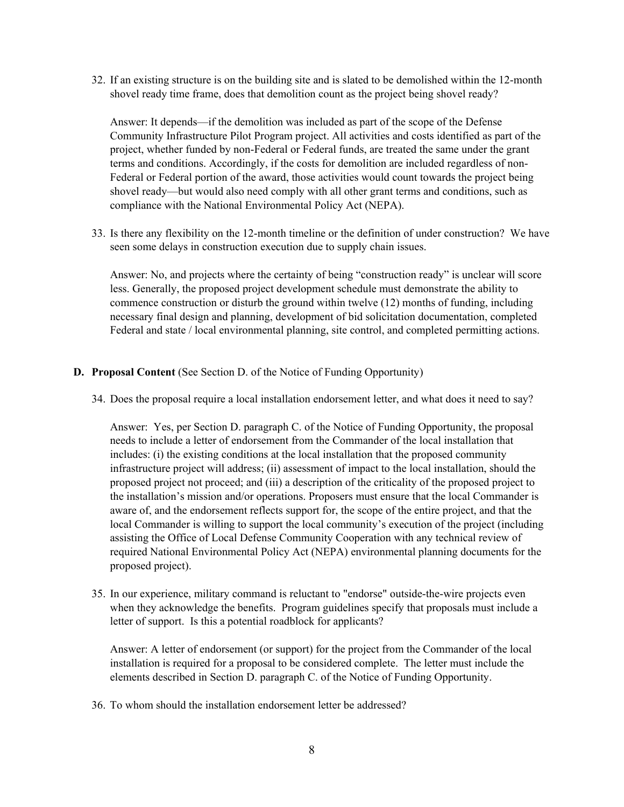32. If an existing structure is on the building site and is slated to be demolished within the 12-month shovel ready time frame, does that demolition count as the project being shovel ready?

Answer: It depends—if the demolition was included as part of the scope of the Defense Community Infrastructure Pilot Program project. All activities and costs identified as part of the project, whether funded by non-Federal or Federal funds, are treated the same under the grant terms and conditions. Accordingly, if the costs for demolition are included regardless of non-Federal or Federal portion of the award, those activities would count towards the project being shovel ready—but would also need comply with all other grant terms and conditions, such as compliance with the National Environmental Policy Act (NEPA).

33. Is there any flexibility on the 12-month timeline or the definition of under construction? We have seen some delays in construction execution due to supply chain issues.

Answer: No, and projects where the certainty of being "construction ready" is unclear will score less. Generally, the proposed project development schedule must demonstrate the ability to commence construction or disturb the ground within twelve (12) months of funding, including necessary final design and planning, development of bid solicitation documentation, completed Federal and state / local environmental planning, site control, and completed permitting actions.

- **D. Proposal Content** (See Section D. of the Notice of Funding Opportunity)
	- 34. Does the proposal require a local installation endorsement letter, and what does it need to say?

Answer: Yes, per Section D. paragraph C. of the Notice of Funding Opportunity, the proposal needs to include a letter of endorsement from the Commander of the local installation that includes: (i) the existing conditions at the local installation that the proposed community infrastructure project will address; (ii) assessment of impact to the local installation, should the proposed project not proceed; and (iii) a description of the criticality of the proposed project to the installation's mission and/or operations. Proposers must ensure that the local Commander is aware of, and the endorsement reflects support for, the scope of the entire project, and that the local Commander is willing to support the local community's execution of the project (including assisting the Office of Local Defense Community Cooperation with any technical review of required National Environmental Policy Act (NEPA) environmental planning documents for the proposed project).

35. In our experience, military command is reluctant to "endorse" outside-the-wire projects even when they acknowledge the benefits. Program guidelines specify that proposals must include a letter of support. Is this a potential roadblock for applicants?

Answer: A letter of endorsement (or support) for the project from the Commander of the local installation is required for a proposal to be considered complete. The letter must include the elements described in Section D. paragraph C. of the Notice of Funding Opportunity.

36. To whom should the installation endorsement letter be addressed?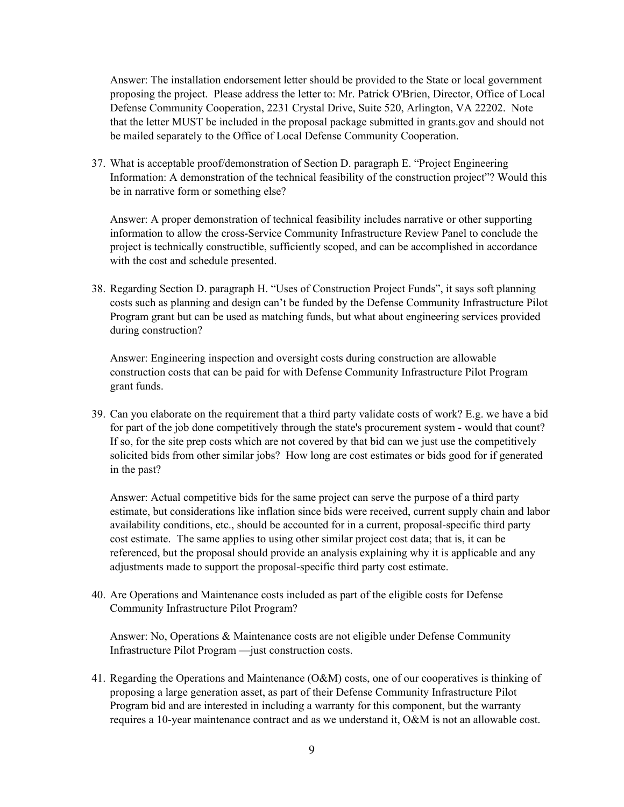Answer: The installation endorsement letter should be provided to the State or local government proposing the project. Please address the letter to: Mr. Patrick O'Brien, Director, Office of Local Defense Community Cooperation, 2231 Crystal Drive, Suite 520, Arlington, VA 22202. Note that the letter MUST be included in the proposal package submitted in grants.gov and should not be mailed separately to the Office of Local Defense Community Cooperation.

37. What is acceptable proof/demonstration of Section D. paragraph E. "Project Engineering Information: A demonstration of the technical feasibility of the construction project"? Would this be in narrative form or something else?

Answer: A proper demonstration of technical feasibility includes narrative or other supporting information to allow the cross-Service Community Infrastructure Review Panel to conclude the project is technically constructible, sufficiently scoped, and can be accomplished in accordance with the cost and schedule presented.

38. Regarding Section D. paragraph H. "Uses of Construction Project Funds", it says soft planning costs such as planning and design can't be funded by the Defense Community Infrastructure Pilot Program grant but can be used as matching funds, but what about engineering services provided during construction?

Answer: Engineering inspection and oversight costs during construction are allowable construction costs that can be paid for with Defense Community Infrastructure Pilot Program grant funds.

39. Can you elaborate on the requirement that a third party validate costs of work? E.g. we have a bid for part of the job done competitively through the state's procurement system - would that count? If so, for the site prep costs which are not covered by that bid can we just use the competitively solicited bids from other similar jobs? How long are cost estimates or bids good for if generated in the past?

Answer: Actual competitive bids for the same project can serve the purpose of a third party estimate, but considerations like inflation since bids were received, current supply chain and labor availability conditions, etc., should be accounted for in a current, proposal-specific third party cost estimate. The same applies to using other similar project cost data; that is, it can be referenced, but the proposal should provide an analysis explaining why it is applicable and any adjustments made to support the proposal-specific third party cost estimate.

40. Are Operations and Maintenance costs included as part of the eligible costs for Defense Community Infrastructure Pilot Program?

Answer: No, Operations & Maintenance costs are not eligible under Defense Community Infrastructure Pilot Program —just construction costs.

41. Regarding the Operations and Maintenance (O&M) costs, one of our cooperatives is thinking of proposing a large generation asset, as part of their Defense Community Infrastructure Pilot Program bid and are interested in including a warranty for this component, but the warranty requires a 10-year maintenance contract and as we understand it, O&M is not an allowable cost.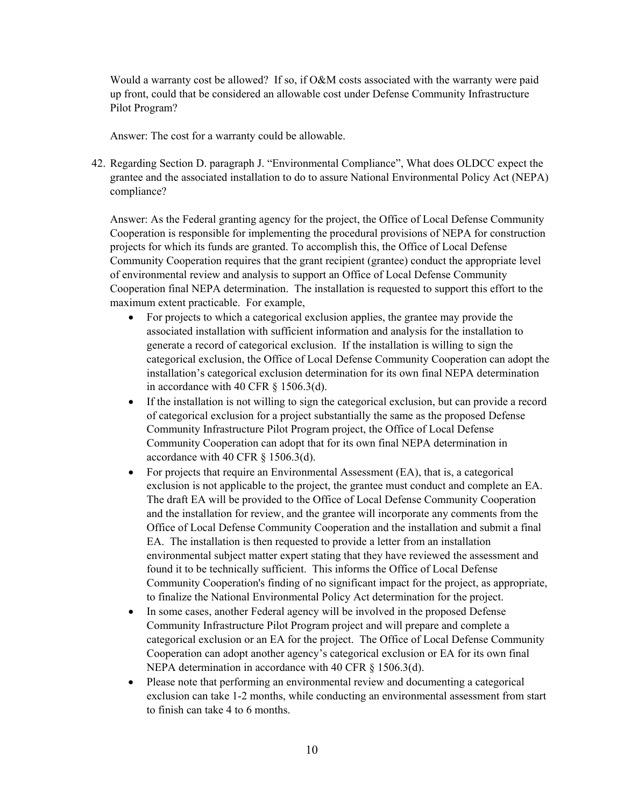Would a warranty cost be allowed? If so, if O&M costs associated with the warranty were paid up front, could that be considered an allowable cost under Defense Community Infrastructure Pilot Program?

Answer: The cost for a warranty could be allowable.

42. Regarding Section D. paragraph J. "Environmental Compliance", What does OLDCC expect the grantee and the associated installation to do to assure National Environmental Policy Act (NEPA) compliance?

Answer: As the Federal granting agency for the project, the Office of Local Defense Community Cooperation is responsible for implementing the procedural provisions of NEPA for construction projects for which its funds are granted. To accomplish this, the Office of Local Defense Community Cooperation requires that the grant recipient (grantee) conduct the appropriate level of environmental review and analysis to support an Office of Local Defense Community Cooperation final NEPA determination. The installation is requested to support this effort to the maximum extent practicable. For example,

- For projects to which a categorical exclusion applies, the grantee may provide the associated installation with sufficient information and analysis for the installation to generate a record of categorical exclusion. If the installation is willing to sign the categorical exclusion, the Office of Local Defense Community Cooperation can adopt the installation's categorical exclusion determination for its own final NEPA determination in accordance with 40 CFR § 1506.3(d).
- If the installation is not willing to sign the categorical exclusion, but can provide a record of categorical exclusion for a project substantially the same as the proposed Defense Community Infrastructure Pilot Program project, the Office of Local Defense Community Cooperation can adopt that for its own final NEPA determination in accordance with 40 CFR § 1506.3(d).
- For projects that require an Environmental Assessment (EA), that is, a categorical exclusion is not applicable to the project, the grantee must conduct and complete an EA. The draft EA will be provided to the Office of Local Defense Community Cooperation and the installation for review, and the grantee will incorporate any comments from the Office of Local Defense Community Cooperation and the installation and submit a final EA. The installation is then requested to provide a letter from an installation environmental subject matter expert stating that they have reviewed the assessment and found it to be technically sufficient. This informs the Office of Local Defense Community Cooperation's finding of no significant impact for the project, as appropriate, to finalize the National Environmental Policy Act determination for the project.
- In some cases, another Federal agency will be involved in the proposed Defense Community Infrastructure Pilot Program project and will prepare and complete a categorical exclusion or an EA for the project. The Office of Local Defense Community Cooperation can adopt another agency's categorical exclusion or EA for its own final NEPA determination in accordance with 40 CFR § 1506.3(d).
- Please note that performing an environmental review and documenting a categorical exclusion can take 1-2 months, while conducting an environmental assessment from start to finish can take 4 to 6 months.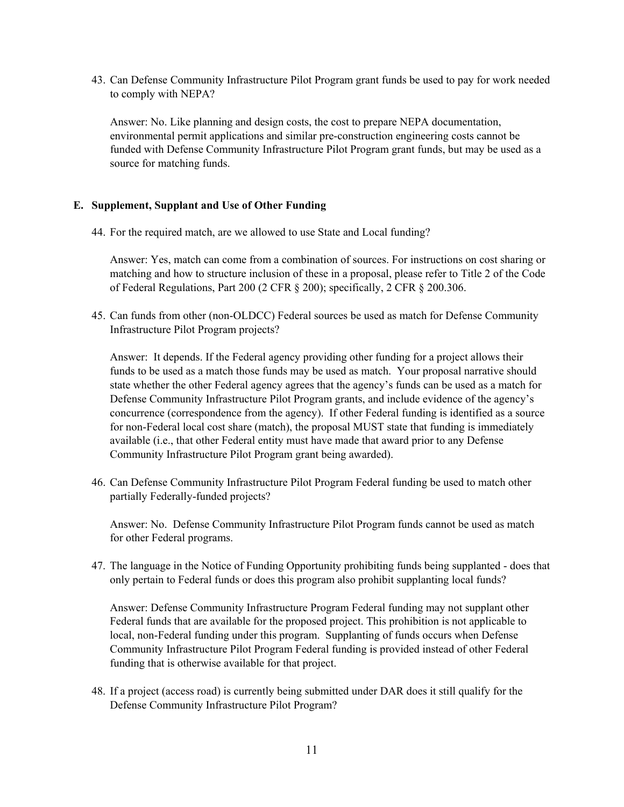43. Can Defense Community Infrastructure Pilot Program grant funds be used to pay for work needed to comply with NEPA?

Answer: No. Like planning and design costs, the cost to prepare NEPA documentation, environmental permit applications and similar pre-construction engineering costs cannot be funded with Defense Community Infrastructure Pilot Program grant funds, but may be used as a source for matching funds.

# **E. Supplement, Supplant and Use of Other Funding**

44. For the required match, are we allowed to use State and Local funding?

Answer: Yes, match can come from a combination of sources. For instructions on cost sharing or matching and how to structure inclusion of these in a proposal, please refer to Title 2 of the Code of Federal Regulations, Part 200 (2 CFR § 200); specifically, 2 CFR § 200.306.

45. Can funds from other (non-OLDCC) Federal sources be used as match for Defense Community Infrastructure Pilot Program projects?

Answer: It depends. If the Federal agency providing other funding for a project allows their funds to be used as a match those funds may be used as match. Your proposal narrative should state whether the other Federal agency agrees that the agency's funds can be used as a match for Defense Community Infrastructure Pilot Program grants, and include evidence of the agency's concurrence (correspondence from the agency). If other Federal funding is identified as a source for non-Federal local cost share (match), the proposal MUST state that funding is immediately available (i.e., that other Federal entity must have made that award prior to any Defense Community Infrastructure Pilot Program grant being awarded).

46. Can Defense Community Infrastructure Pilot Program Federal funding be used to match other partially Federally-funded projects?

Answer: No. Defense Community Infrastructure Pilot Program funds cannot be used as match for other Federal programs.

47. The language in the Notice of Funding Opportunity prohibiting funds being supplanted - does that only pertain to Federal funds or does this program also prohibit supplanting local funds?

Answer: Defense Community Infrastructure Program Federal funding may not supplant other Federal funds that are available for the proposed project. This prohibition is not applicable to local, non-Federal funding under this program. Supplanting of funds occurs when Defense Community Infrastructure Pilot Program Federal funding is provided instead of other Federal funding that is otherwise available for that project.

48. If a project (access road) is currently being submitted under DAR does it still qualify for the Defense Community Infrastructure Pilot Program?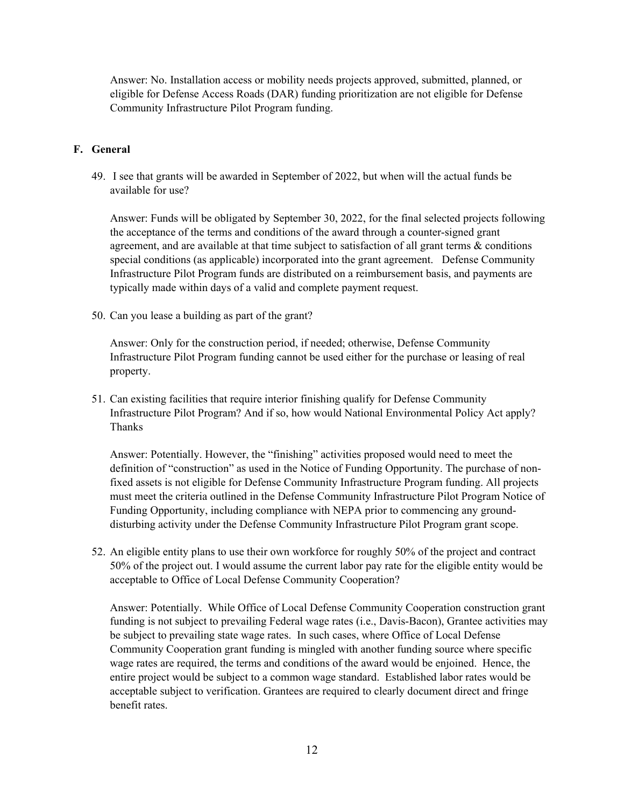Answer: No. Installation access or mobility needs projects approved, submitted, planned, or eligible for Defense Access Roads (DAR) funding prioritization are not eligible for Defense Community Infrastructure Pilot Program funding.

### **F. General**

49. I see that grants will be awarded in September of 2022, but when will the actual funds be available for use?

Answer: Funds will be obligated by September 30, 2022, for the final selected projects following the acceptance of the terms and conditions of the award through a counter-signed grant agreement, and are available at that time subject to satisfaction of all grant terms & conditions special conditions (as applicable) incorporated into the grant agreement. Defense Community Infrastructure Pilot Program funds are distributed on a reimbursement basis, and payments are typically made within days of a valid and complete payment request.

50. Can you lease a building as part of the grant?

Answer: Only for the construction period, if needed; otherwise, Defense Community Infrastructure Pilot Program funding cannot be used either for the purchase or leasing of real property.

51. Can existing facilities that require interior finishing qualify for Defense Community Infrastructure Pilot Program? And if so, how would National Environmental Policy Act apply? Thanks

Answer: Potentially. However, the "finishing" activities proposed would need to meet the definition of "construction" as used in the Notice of Funding Opportunity. The purchase of nonfixed assets is not eligible for Defense Community Infrastructure Program funding. All projects must meet the criteria outlined in the Defense Community Infrastructure Pilot Program Notice of Funding Opportunity, including compliance with NEPA prior to commencing any grounddisturbing activity under the Defense Community Infrastructure Pilot Program grant scope.

52. An eligible entity plans to use their own workforce for roughly 50% of the project and contract 50% of the project out. I would assume the current labor pay rate for the eligible entity would be acceptable to Office of Local Defense Community Cooperation?

Answer: Potentially. While Office of Local Defense Community Cooperation construction grant funding is not subject to prevailing Federal wage rates (i.e., Davis-Bacon), Grantee activities may be subject to prevailing state wage rates. In such cases, where Office of Local Defense Community Cooperation grant funding is mingled with another funding source where specific wage rates are required, the terms and conditions of the award would be enjoined. Hence, the entire project would be subject to a common wage standard. Established labor rates would be acceptable subject to verification. Grantees are required to clearly document direct and fringe benefit rates.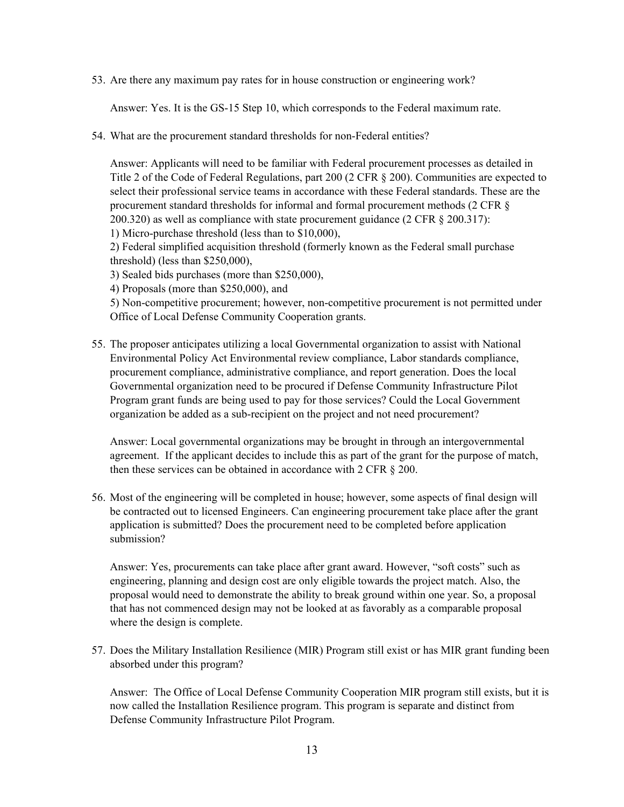53. Are there any maximum pay rates for in house construction or engineering work?

Answer: Yes. It is the GS-15 Step 10, which corresponds to the Federal maximum rate.

54. What are the procurement standard thresholds for non-Federal entities?

Answer: Applicants will need to be familiar with Federal procurement processes as detailed in Title 2 of the Code of Federal Regulations, part 200 (2 CFR § 200). Communities are expected to select their professional service teams in accordance with these Federal standards. These are the procurement standard thresholds for informal and formal procurement methods (2 CFR § 200.320) as well as compliance with state procurement guidance (2 CFR § 200.317): 1) Micro-purchase threshold (less than to \$10,000),

2) Federal simplified acquisition threshold (formerly known as the Federal small purchase threshold) (less than \$250,000),

3) Sealed bids purchases (more than \$250,000),

4) Proposals (more than \$250,000), and

5) Non-competitive procurement; however, non-competitive procurement is not permitted under Office of Local Defense Community Cooperation grants.

55. The proposer anticipates utilizing a local Governmental organization to assist with National Environmental Policy Act Environmental review compliance, Labor standards compliance, procurement compliance, administrative compliance, and report generation. Does the local Governmental organization need to be procured if Defense Community Infrastructure Pilot Program grant funds are being used to pay for those services? Could the Local Government organization be added as a sub-recipient on the project and not need procurement?

Answer: Local governmental organizations may be brought in through an intergovernmental agreement. If the applicant decides to include this as part of the grant for the purpose of match, then these services can be obtained in accordance with 2 CFR § 200.

56. Most of the engineering will be completed in house; however, some aspects of final design will be contracted out to licensed Engineers. Can engineering procurement take place after the grant application is submitted? Does the procurement need to be completed before application submission?

Answer: Yes, procurements can take place after grant award. However, "soft costs" such as engineering, planning and design cost are only eligible towards the project match. Also, the proposal would need to demonstrate the ability to break ground within one year. So, a proposal that has not commenced design may not be looked at as favorably as a comparable proposal where the design is complete.

57. Does the Military Installation Resilience (MIR) Program still exist or has MIR grant funding been absorbed under this program?

Answer: The Office of Local Defense Community Cooperation MIR program still exists, but it is now called the Installation Resilience program. This program is separate and distinct from Defense Community Infrastructure Pilot Program.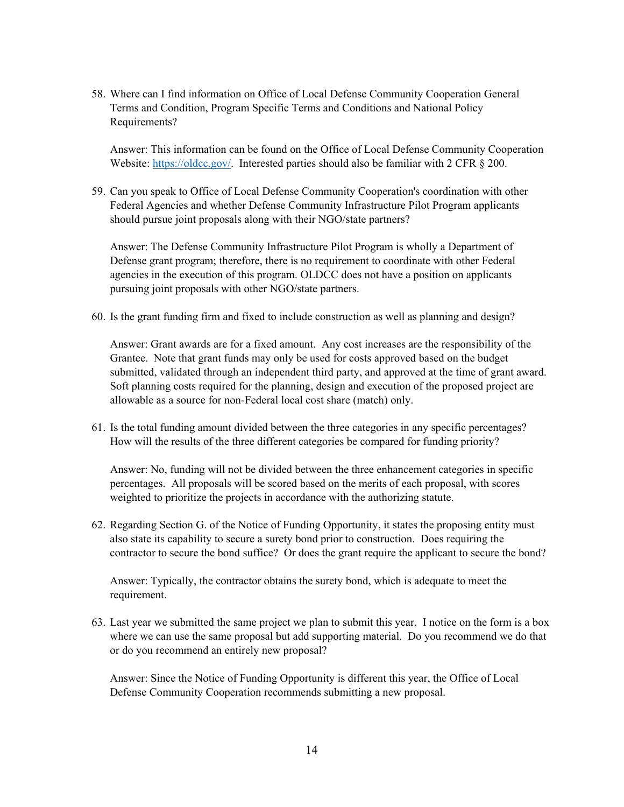58. Where can I find information on Office of Local Defense Community Cooperation General Terms and Condition, Program Specific Terms and Conditions and National Policy Requirements?

Answer: This information can be found on the Office of Local Defense Community Cooperation Website: [https://oldcc.gov/.](https://oldcc.gov/) Interested parties should also be familiar with 2 CFR § 200.

59. Can you speak to Office of Local Defense Community Cooperation's coordination with other Federal Agencies and whether Defense Community Infrastructure Pilot Program applicants should pursue joint proposals along with their NGO/state partners?

Answer: The Defense Community Infrastructure Pilot Program is wholly a Department of Defense grant program; therefore, there is no requirement to coordinate with other Federal agencies in the execution of this program. OLDCC does not have a position on applicants pursuing joint proposals with other NGO/state partners.

60. Is the grant funding firm and fixed to include construction as well as planning and design?

Answer: Grant awards are for a fixed amount. Any cost increases are the responsibility of the Grantee. Note that grant funds may only be used for costs approved based on the budget submitted, validated through an independent third party, and approved at the time of grant award. Soft planning costs required for the planning, design and execution of the proposed project are allowable as a source for non-Federal local cost share (match) only.

61. Is the total funding amount divided between the three categories in any specific percentages? How will the results of the three different categories be compared for funding priority?

Answer: No, funding will not be divided between the three enhancement categories in specific percentages. All proposals will be scored based on the merits of each proposal, with scores weighted to prioritize the projects in accordance with the authorizing statute.

62. Regarding Section G. of the Notice of Funding Opportunity, it states the proposing entity must also state its capability to secure a surety bond prior to construction. Does requiring the contractor to secure the bond suffice? Or does the grant require the applicant to secure the bond?

Answer: Typically, the contractor obtains the surety bond, which is adequate to meet the requirement.

63. Last year we submitted the same project we plan to submit this year. I notice on the form is a box where we can use the same proposal but add supporting material. Do you recommend we do that or do you recommend an entirely new proposal?

Answer: Since the Notice of Funding Opportunity is different this year, the Office of Local Defense Community Cooperation recommends submitting a new proposal.